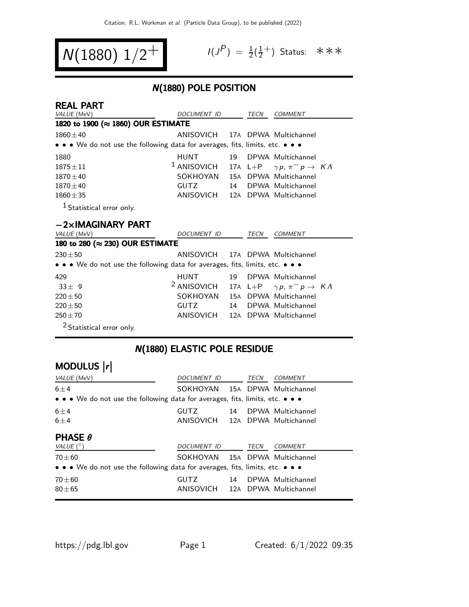$$
N(1880) 1/2^+ \qquad \qquad ^{\frac{1}{3}}
$$

$$
I(J^P) = \frac{1}{2}(\frac{1}{2}^+)
$$
 Status:  $\ast \ast \ast$ 

## N(1880) POLE POSITION

| <b>REAL PART</b>                                                                                                      |                                 |     |      |                                                   |  |
|-----------------------------------------------------------------------------------------------------------------------|---------------------------------|-----|------|---------------------------------------------------|--|
| VALUE (MeV)                                                                                                           | <i>DOCUMENT ID</i>              |     | TECN | <b>COMMENT</b>                                    |  |
| 1820 to 1900 (≈ 1860) OUR ESTIMATE                                                                                    |                                 |     |      |                                                   |  |
| $1860 \pm 40$                                                                                                         | ANISOVICH 17A DPWA Multichannel |     |      |                                                   |  |
| • • • We do not use the following data for averages, fits, limits, etc. • • •                                         |                                 |     |      |                                                   |  |
| 1880                                                                                                                  | <b>HUNT</b>                     | 19  |      | DPWA Multichannel                                 |  |
| $1875 \pm 11$                                                                                                         | $^1$ ANISOVICH                  |     |      | 17A L+P $\gamma p, \pi^- p \rightarrow K \Lambda$ |  |
| $1870 \pm 40$                                                                                                         | SOKHOYAN                        | 15A |      | DPWA Multichannel                                 |  |
| $1870 \pm 40$                                                                                                         | <b>GUTZ</b>                     | 14  |      | DPWA Multichannel                                 |  |
| $1860 \pm 35$                                                                                                         | ANISOVICH                       |     |      | 12A DPWA Multichannel                             |  |
| <sup>1</sup> Statistical error only.                                                                                  |                                 |     |      |                                                   |  |
| $-2\times$ IMAGINARY PART                                                                                             |                                 |     |      |                                                   |  |
| VALUE (MeV)                                                                                                           | <b>DOCUMENT ID</b>              |     | TECN | <b>COMMENT</b>                                    |  |
| 180 to 280 (≈ 230) OUR ESTIMATE                                                                                       |                                 |     |      |                                                   |  |
| $230 + 50$                                                                                                            | ANISOVICH 17A DPWA Multichannel |     |      |                                                   |  |
| $\bullet \bullet \bullet$ We do not use the following data for averages, fits, limits, etc. $\bullet \bullet \bullet$ |                                 |     |      |                                                   |  |
| 420                                                                                                                   | HIINT                           | 10  |      | DPWA Multichannel                                 |  |

| 429                                        | HUNT 19 DPWA Multichannel                                           |  |  |
|--------------------------------------------|---------------------------------------------------------------------|--|--|
| $33 + 9$                                   | <sup>2</sup> ANISOVICH 17A L+P $\gamma p$ , $\pi^- p \to K \Lambda$ |  |  |
| $220\pm50$                                 | SOKHOYAN 15A DPWA Multichannel                                      |  |  |
| $220\pm50$                                 | GUTZ 14 DPWA Multichannel                                           |  |  |
| $250 + 70$                                 | ANISOVICH 12A DPWA Multichannel                                     |  |  |
| $2\sigma$ , $\sigma$ , $\sigma$ , $\sigma$ |                                                                     |  |  |

2 Statistical error only.

# N(1880) ELASTIC POLE RESIDUE

| MODULUS  r                                                                                                            |                                 |    |      |                       |  |  |
|-----------------------------------------------------------------------------------------------------------------------|---------------------------------|----|------|-----------------------|--|--|
| <i>VALUE</i> (MeV)                                                                                                    | DOCUMENT ID                     |    | TECN | <b>COMMENT</b>        |  |  |
| $6 \pm 4$                                                                                                             | SOKHOYAN                        |    |      | 15A DPWA Multichannel |  |  |
| $\bullet \bullet \bullet$ We do not use the following data for averages, fits, limits, etc. $\bullet \bullet \bullet$ |                                 |    |      |                       |  |  |
| $6 \pm 4$                                                                                                             | <b>GUTZ</b>                     | 14 |      | DPWA Multichannel     |  |  |
| $6 \pm 4$                                                                                                             | ANISOVICH 12A DPWA Multichannel |    |      |                       |  |  |
| <b>PHASE <math>\theta</math></b>                                                                                      |                                 |    |      |                       |  |  |
| VALUE $(^\circ)$                                                                                                      | DOCUMENT ID                     |    | TECN | <b>COMMENT</b>        |  |  |
| $70 + 60$                                                                                                             | SOKHOYAN 15A DPWA Multichannel  |    |      |                       |  |  |
| $\bullet \bullet \bullet$ We do not use the following data for averages, fits, limits, etc. $\bullet \bullet \bullet$ |                                 |    |      |                       |  |  |
| $70 + 60$                                                                                                             | <b>GUTZ</b>                     | 14 |      | DPWA Multichannel     |  |  |
| $80 + 65$                                                                                                             | ANISOVICH                       |    |      | 12A DPWA Multichannel |  |  |
|                                                                                                                       |                                 |    |      |                       |  |  |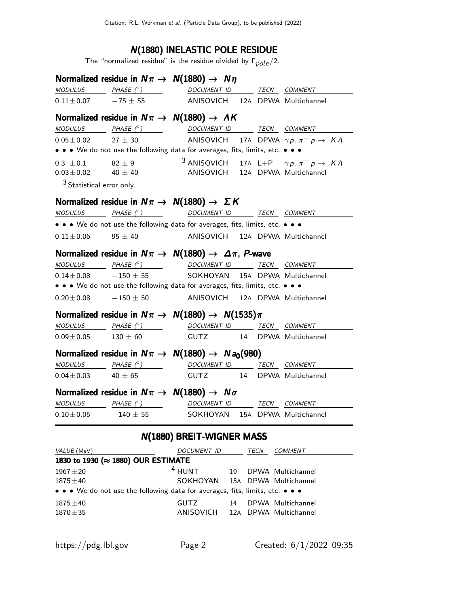#### N(1880) INELASTIC POLE RESIDUE

The "normalized residue" is the residue divided by  $\mathsf{\Gamma}_{pole}/2.$ 

|                                      |                                    | Normalized residue in $N\pi \rightarrow N(1880) \rightarrow N\eta$                                                                                                                                                 |
|--------------------------------------|------------------------------------|--------------------------------------------------------------------------------------------------------------------------------------------------------------------------------------------------------------------|
|                                      |                                    | $\underline{\textit{MODULUS}} \qquad \qquad \underline{\textit{PHASE (}^{\circ}) \qquad \qquad \qquad \underline{\textit{DOCUMENT ID}} \qquad \qquad \underline{\textit{TECN}} \quad \underline{\textit{COMMENT}}$ |
|                                      |                                    | $0.11 \pm 0.07$ -75 $\pm$ 55 ANISOVICH 12A DPWA Multichannel                                                                                                                                                       |
|                                      |                                    | Normalized residue in $N\pi \rightarrow N(1880) \rightarrow AK$                                                                                                                                                    |
|                                      |                                    | $\underline{\textit{MODULUS}} \qquad \qquad \underline{\textit{PHASE (^{\circ})}} \qquad \qquad \underline{\textit{DOCUMENT ID}} \qquad \underline{\textit{TECN}} \quad \underline{\textit{COMMENT}}$              |
|                                      |                                    | $0.05\pm0.02$ 27 $\pm$ 30 ANISOVICH 17A DPWA $\gamma p$ , $\pi^- p \rightarrow K \Lambda$                                                                                                                          |
|                                      |                                    | • • • We do not use the following data for averages, fits, limits, etc. • • •                                                                                                                                      |
|                                      |                                    | 0.3 ± 0.1 $82 \pm 9$ 3 ANISOVICH 17A L+P $\gamma p, \pi^- p \rightarrow K \Lambda$                                                                                                                                 |
|                                      |                                    | $0.03 \pm 0.02$ 40 $\pm$ 40 ANISOVICH 12A DPWA Multichannel                                                                                                                                                        |
| <sup>3</sup> Statistical error only. |                                    |                                                                                                                                                                                                                    |
|                                      |                                    | Normalized residue in $N\pi \rightarrow N(1880) \rightarrow \Sigma K$                                                                                                                                              |
|                                      |                                    | $\begin{array}{ccccccccc} \textit{MODULUS} & \textit{PHASE}& \texttt{?)} & \textit{DOCUMENT} & \textit{ID} & \textit{TECN} & \textit{COMMENT} & \textit{?} \end{array}$                                            |
|                                      |                                    | • • • We do not use the following data for averages, fits, limits, etc. • • •                                                                                                                                      |
|                                      |                                    | $0.11 \pm 0.06$ 95 $\pm$ 40 ANISOVICH 12A DPWA Multichannel                                                                                                                                                        |
|                                      |                                    |                                                                                                                                                                                                                    |
|                                      |                                    | Normalized residue in $N\pi \to N(1880) \to \Delta \pi$ , P-wave                                                                                                                                                   |
|                                      |                                    | $\begin{array}{ccccccccc}\textit{MODULUS} & & & \textit{PHASE}& \textit{?}) & & & \textit{DOCUMENT} & \textit{ID} & & \textit{TECN} & \textit{COMMENT} & \end{array}$                                              |
|                                      |                                    | $0.14 \pm 0.08$ -150 $\pm$ 55 SOKHOYAN 15A DPWA Multichannel                                                                                                                                                       |
|                                      |                                    | • • • We do not use the following data for averages, fits, limits, etc. • • •                                                                                                                                      |
|                                      |                                    | $0.20 \pm 0.08$ -150 $\pm$ 50 ANISOVICH 12A DPWA Multichannel                                                                                                                                                      |
|                                      |                                    | Normalized residue in $N\pi \to N(1880) \to N(1535)\pi$                                                                                                                                                            |
|                                      |                                    | $\begin{array}{ccccccccc}\textit{MODULUS} & & & \textit{PHASE}& @ & & & & \textit{DOCUMENT} & \textit{ID} & & \textit{TECN} & \textit{COMMENT} \end{array}$                                                        |
|                                      |                                    | $0.09 \pm 0.05$ 130 $\pm$ 60 GUTZ 14 DPWA Multichannel                                                                                                                                                             |
|                                      |                                    | Normalized residue in $N\pi \rightarrow N(1880) \rightarrow N a_0(980)$                                                                                                                                            |
|                                      |                                    | $\textit{MODULUS} \qquad \qquad \textit{PHASE} \; (^\circ) \qquad \qquad \textit{DOCUMENT ID} \qquad \textit{TECN} \quad \textit{COMMENT} \qquad \qquad$                                                           |
|                                      |                                    | $0.04 \pm 0.03$ 40 $\pm$ 65 GUTZ 14 DPWA Multichannel                                                                                                                                                              |
|                                      |                                    | Normalized residue in $N\pi \rightarrow N(1880) \rightarrow N\sigma$                                                                                                                                               |
|                                      |                                    | $\begin{array}{ccccccccc}\textit{MODULUS} & \textit{PHASE}& \texttt{?)} & \textit{DOCUMENT} & \textit{ID} & \textit{TECN} & \textit{COMMENT} & \textit{?} \end{array}$                                             |
|                                      |                                    | $0.10 \pm 0.05$ - 140 $\pm$ 55 SOKHOYAN 15A DPWA Multichannel                                                                                                                                                      |
|                                      |                                    | N(1880) BREIT-WIGNER MASS                                                                                                                                                                                          |
| VALUE (MeV)                          |                                    | DOCUMENT ID<br><b>COMMENT</b><br>TECN                                                                                                                                                                              |
|                                      | 1830 to 1930 (≈ 1880) OUR ESTIMATE |                                                                                                                                                                                                                    |
| $1967 + 20$                          |                                    | $4$ HUNT<br>19<br>DPWA Multichannel                                                                                                                                                                                |
| $1875 \pm 40$                        |                                    | SOKHOYAN<br>15A DPWA Multichannel                                                                                                                                                                                  |
|                                      |                                    | • • • We do not use the following data for averages, fits, limits, etc. • • •                                                                                                                                      |
| $1875 \pm 40$                        |                                    | DPWA Multichannel<br><b>GUTZ</b><br>14                                                                                                                                                                             |
| $1870 + 35$                          |                                    | ANISOVICH<br>DPWA Multichannel<br>12A                                                                                                                                                                              |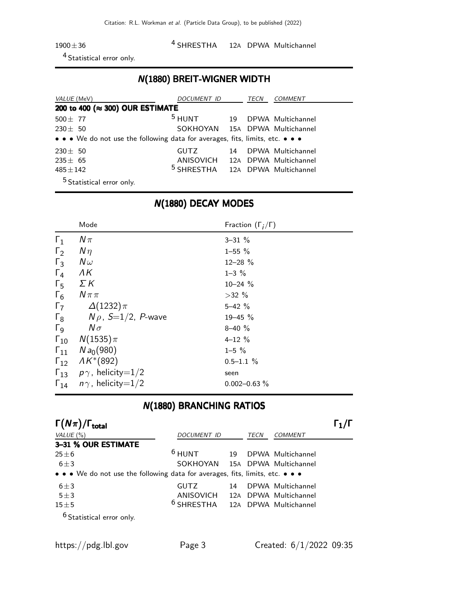1900±36 4 SHRESTHA 12A DPWA Multichannel

4 Statistical error only.

#### N(1880) BREIT-WIGNER WIDTH

| VALUE (MeV)                                                                   | DOCUMENT ID                                 |    | TECN | COMMENT           |
|-------------------------------------------------------------------------------|---------------------------------------------|----|------|-------------------|
| 200 to 400 (≈ 300) OUR ESTIMATE                                               |                                             |    |      |                   |
| 500 $\pm$ 77                                                                  | $5$ HUNT                                    | 19 |      | DPWA Multichannel |
| $230 \pm 50$                                                                  | SOKHOYAN 15A DPWA Multichannel              |    |      |                   |
| • • • We do not use the following data for averages, fits, limits, etc. • • • |                                             |    |      |                   |
| $230 \pm 50$                                                                  | <b>GUTZ</b>                                 | 14 |      | DPWA Multichannel |
| $235 \pm 65$                                                                  | ANISOVICH 12A DPWA Multichannel             |    |      |                   |
| $485 \pm 142$                                                                 | <sup>5</sup> SHRESTHA 12A DPWA Multichannel |    |      |                   |
| <sup>5</sup> Statistical error only.                                          |                                             |    |      |                   |

## N(1880) DECAY MODES

|                       | Mode                                   | Fraction $(\Gamma_i/\Gamma)$ |
|-----------------------|----------------------------------------|------------------------------|
| $\Gamma_1$            | $N\pi$                                 | $3 - 31 \%$                  |
| $\Gamma_2$            | $N\eta$                                | $1 - 55 \%$                  |
| $\Gamma_3$            | $N\omega$                              | $12 - 28 \%$                 |
| $\Gamma_4$            | ΛK                                     | $1 - 3 \%$                   |
| $\Gamma_5$            | ΣΚ                                     | $10 - 24$ %                  |
| $\Gamma_6$            | $N\pi\pi$                              | $>32\%$                      |
| $\Gamma_7$            | $\Delta(1232)\pi$                      | $5 - 42 \%$                  |
| $\Gamma_8$            | $N \rho$ , S $=$ 1/2, P-wave           | $19 - 45 \%$                 |
| $\Gamma$ <sub>9</sub> | $N\sigma$                              | $8 - 40 \%$                  |
| $\Gamma_{10}$         | $N(1535)\pi$                           | $4 - 12%$                    |
| $\Gamma_{11}$         | $N a_0(980)$                           | $1 - 5 \%$                   |
| $\Gamma_{12}$         | $AK*(892)$                             | $0.5 - 1.1 \%$               |
|                       | $\Gamma_{13}$ $p\gamma$ , helicity=1/2 | seen                         |
| $\Gamma_{14}$         | $n\gamma$ , helicity $=$ 1/2           | $0.002 - 0.63 \%$            |

## N(1880) BRANCHING RATIOS

| $\Gamma(N\pi)/\Gamma_{\rm total}$                                             |                                    |    |      |                   |  |
|-------------------------------------------------------------------------------|------------------------------------|----|------|-------------------|--|
| VALUE $(\% )$                                                                 | <b>DOCUMENT ID</b>                 |    | TECN | <b>COMMENT</b>    |  |
| 3-31 % OUR ESTIMATE                                                           |                                    |    |      |                   |  |
| $25 \pm 6$                                                                    | $6$ HUNT                           | 19 |      | DPWA Multichannel |  |
| $6 + 3$                                                                       | SOKHOYAN 15A DPWA Multichannel     |    |      |                   |  |
| • • • We do not use the following data for averages, fits, limits, etc. • • • |                                    |    |      |                   |  |
| $6 \pm 3$                                                                     | <b>GUTZ</b>                        | 14 |      | DPWA Multichannel |  |
| $5\pm3$                                                                       | ANISOVICH 12A DPWA Multichannel    |    |      |                   |  |
| $15 \pm 5$                                                                    | $6$ SHRESTHA 12A DPWA Multichannel |    |      |                   |  |
| $6$ Statistical error only.                                                   |                                    |    |      |                   |  |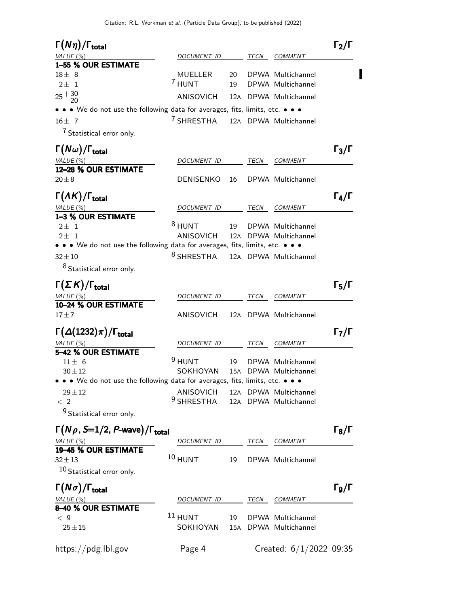| $\Gamma(N\eta)/\Gamma_{\rm total}$                                                       |                                             |          |      |                                        | $\Gamma_2/\Gamma$ |
|------------------------------------------------------------------------------------------|---------------------------------------------|----------|------|----------------------------------------|-------------------|
| VALUE (%)                                                                                | DOCUMENT ID                                 |          | TECN | <b>COMMENT</b>                         |                   |
| 1-55 % OUR ESTIMATE                                                                      |                                             |          |      |                                        |                   |
| $18 \pm 8$<br>$2 \pm 1$                                                                  | MUELLER<br>7 HUNT                           | 20<br>19 |      | DPWA Multichannel<br>DPWA Multichannel |                   |
| $25 + 30$<br>$-20$                                                                       | ANISOVICH                                   |          |      | 12A DPWA Multichannel                  |                   |
| • • • We do not use the following data for averages, fits, limits, etc. • • •            |                                             |          |      |                                        |                   |
| $16 \pm 7$                                                                               | <sup>7</sup> SHRESTHA                       |          |      | 12A DPWA Multichannel                  |                   |
| <sup>7</sup> Statistical error only.                                                     |                                             |          |      |                                        |                   |
| $\Gamma(N\omega)/\Gamma_{\rm total}$                                                     |                                             |          |      |                                        | $\Gamma_3/\Gamma$ |
| <u>VALUE (%)</u>                                                                         | DOCUMENT ID                                 |          | TECN | <b>COMMENT</b>                         |                   |
| 12-28 % OUR ESTIMATE                                                                     |                                             |          |      |                                        |                   |
| $20\pm8$                                                                                 | <b>DENISENKO</b>                            | 16       |      | DPWA Multichannel                      |                   |
| $\Gamma(\Lambda K)/\Gamma_{\rm total}$                                                   |                                             |          |      |                                        | $\Gamma_4/\Gamma$ |
| VALUE(%)                                                                                 | DOCUMENT ID                                 |          | TECN | COMMENT                                |                   |
| 1-3 % OUR ESTIMATE                                                                       |                                             |          |      |                                        |                   |
| $2\pm 1$                                                                                 | $8$ HUNT                                    | 19       |      | DPWA Multichannel                      |                   |
| $2 + 1$<br>• • • We do not use the following data for averages, fits, limits, etc. • • • | ANISOVICH                                   |          |      | 12A DPWA Multichannel                  |                   |
| $32 + 10$                                                                                | <sup>8</sup> SHRESTHA                       |          |      | 12A DPWA Multichannel                  |                   |
| <sup>8</sup> Statistical error only.                                                     |                                             |          |      |                                        |                   |
|                                                                                          |                                             |          |      |                                        |                   |
| $\Gamma(\Sigma K)/\Gamma_{\rm total}$                                                    |                                             |          |      |                                        | $\Gamma_5/\Gamma$ |
| VALUE(%)                                                                                 | DOCUMENT ID                                 |          | TECN | <b>COMMENT</b>                         |                   |
| 10-24 % OUR ESTIMATE<br>$17 + 7$                                                         | ANISOVICH                                   |          |      | 12A DPWA Multichannel                  |                   |
| $\Gamma(\Delta(1232)\pi)/\Gamma_{\rm total}$                                             |                                             |          |      |                                        | $\Gamma_7/\Gamma$ |
|                                                                                          | DOCUMENT ID                                 |          | TECN | <b>COMMENT</b>                         |                   |
| VALUE(%)<br>5-42 % OUR ESTIMATE                                                          |                                             |          |      |                                        |                   |
| $11 \pm 6$                                                                               | $9$ HUNT                                    | 19       |      | DPWA Multichannel                      |                   |
| $30 + 12$                                                                                | SOKHOYAN                                    |          |      | 15A DPWA Multichannel                  |                   |
| • • • We do not use the following data for averages, fits, limits, etc. • • •            |                                             |          |      |                                        |                   |
| $29 + 12$                                                                                | ANISOVICH 12A DPWA Multichannel             |          |      |                                        |                   |
| < 2                                                                                      | <sup>9</sup> SHRESTHA 12A DPWA Multichannel |          |      |                                        |                   |
| <sup>9</sup> Statistical error only.                                                     |                                             |          |      |                                        |                   |
| $\Gamma(N\rho, S=1/2, P$ -wave $)/\Gamma_{\rm total}$                                    |                                             |          |      |                                        | $\Gamma_8/\Gamma$ |
| VALUE(%)                                                                                 | DOCUMENT ID                                 |          | TECN | COMMENT                                |                   |
| 19-45 % OUR ESTIMATE                                                                     |                                             |          |      |                                        |                   |
| $32 + 13$                                                                                | $10$ HUNT                                   | 19       |      | DPWA Multichannel                      |                   |
| 10 Statistical error only.                                                               |                                             |          |      |                                        |                   |
| $\Gamma(N\sigma)/\Gamma_{\rm total}$                                                     |                                             |          |      |                                        | $\Gamma$ 9/Г      |
| VALUE (%)                                                                                | DOCUMENT ID                                 |          | TECN | COMMENT                                |                   |
| 8-40 % OUR ESTIMATE                                                                      |                                             |          |      |                                        |                   |
| $<$ 9                                                                                    | $11$ HUNT                                   | 19       |      | DPWA Multichannel                      |                   |
| $25 + 15$                                                                                | SOKHOYAN                                    |          |      | 15A DPWA Multichannel                  |                   |
| https://pdg.lbl.gov                                                                      | Page 4                                      |          |      | Created: $6/1/2022$ 09:35              |                   |
|                                                                                          |                                             |          |      |                                        |                   |